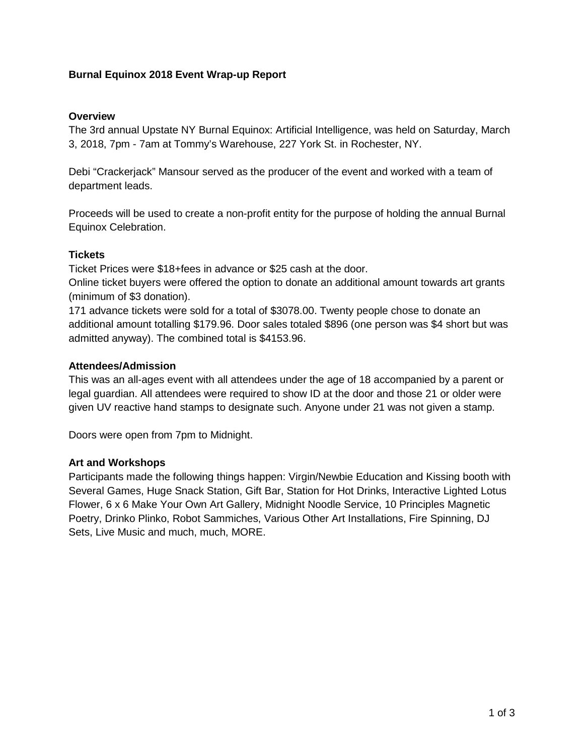## **Burnal Equinox 2018 Event Wrap-up Report**

#### **Overview**

The 3rd annual Upstate NY Burnal Equinox: Artificial Intelligence, was held on Saturday, March 3, 2018, 7pm - 7am at Tommy's Warehouse, 227 York St. in Rochester, NY.

Debi "Crackerjack" Mansour served as the producer of the event and worked with a team of department leads.

Proceeds will be used to create a non-profit entity for the purpose of holding the annual Burnal Equinox Celebration.

### **Tickets**

Ticket Prices were \$18+fees in advance or \$25 cash at the door.

Online ticket buyers were offered the option to donate an additional amount towards art grants (minimum of \$3 donation).

171 advance tickets were sold for a total of \$3078.00. Twenty people chose to donate an additional amount totalling \$179.96. Door sales totaled \$896 (one person was \$4 short but was admitted anyway). The combined total is \$4153.96.

#### **Attendees/Admission**

This was an all-ages event with all attendees under the age of 18 accompanied by a parent or legal guardian. All attendees were required to show ID at the door and those 21 or older were given UV reactive hand stamps to designate such. Anyone under 21 was not given a stamp.

Doors were open from 7pm to Midnight.

### **Art and Workshops**

Participants made the following things happen: Virgin/Newbie Education and Kissing booth with Several Games, Huge Snack Station, Gift Bar, Station for Hot Drinks, Interactive Lighted Lotus Flower, 6 x 6 Make Your Own Art Gallery, Midnight Noodle Service, 10 Principles Magnetic Poetry, Drinko Plinko, Robot Sammiches, Various Other Art Installations, Fire Spinning, DJ Sets, Live Music and much, much, MORE.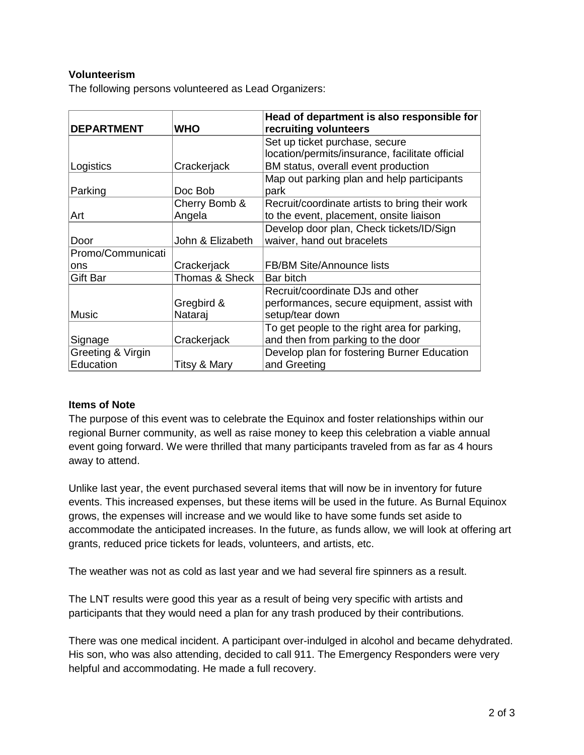## **Volunteerism**

The following persons volunteered as Lead Organizers:

|                   |                  | Head of department is also responsible for      |  |
|-------------------|------------------|-------------------------------------------------|--|
| <b>DEPARTMENT</b> | WHO              | recruiting volunteers                           |  |
|                   |                  | Set up ticket purchase, secure                  |  |
|                   |                  | location/permits/insurance, facilitate official |  |
| Logistics         | Crackerjack      | BM status, overall event production             |  |
|                   |                  | Map out parking plan and help participants      |  |
| Parking           | Doc Bob          | park                                            |  |
|                   | Cherry Bomb &    | Recruit/coordinate artists to bring their work  |  |
| Art               | Angela           | to the event, placement, onsite liaison         |  |
|                   |                  | Develop door plan, Check tickets/ID/Sign        |  |
| Door              | John & Elizabeth | waiver, hand out bracelets                      |  |
| Promo/Communicati |                  |                                                 |  |
| ons               | Crackerjack      | <b>FB/BM Site/Announce lists</b>                |  |
| Gift Bar          | Thomas & Sheck   | Bar bitch                                       |  |
|                   |                  | Recruit/coordinate DJs and other                |  |
|                   | Gregbird &       | performances, secure equipment, assist with     |  |
| <b>Music</b>      | Nataraj          | setup/tear down                                 |  |
|                   |                  | To get people to the right area for parking,    |  |
| Signage           | Crackerjack      | and then from parking to the door               |  |
| Greeting & Virgin |                  | Develop plan for fostering Burner Education     |  |
| Education         | Titsy & Mary     | and Greeting                                    |  |

### **Items of Note**

The purpose of this event was to celebrate the Equinox and foster relationships within our regional Burner community, as well as raise money to keep this celebration a viable annual event going forward. We were thrilled that many participants traveled from as far as 4 hours away to attend.

Unlike last year, the event purchased several items that will now be in inventory for future events. This increased expenses, but these items will be used in the future. As Burnal Equinox grows, the expenses will increase and we would like to have some funds set aside to accommodate the anticipated increases. In the future, as funds allow, we will look at offering art grants, reduced price tickets for leads, volunteers, and artists, etc.

The weather was not as cold as last year and we had several fire spinners as a result.

The LNT results were good this year as a result of being very specific with artists and participants that they would need a plan for any trash produced by their contributions.

There was one medical incident. A participant over-indulged in alcohol and became dehydrated. His son, who was also attending, decided to call 911. The Emergency Responders were very helpful and accommodating. He made a full recovery.